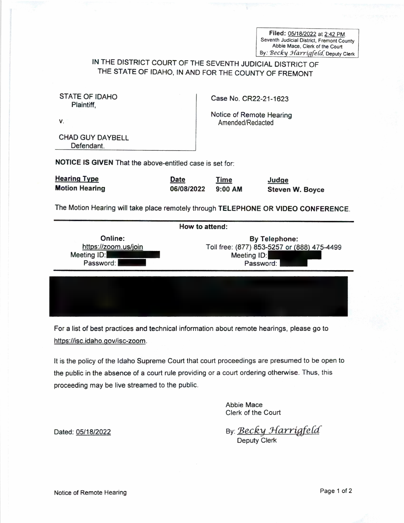Filed: 05/18/2022 at 2:42 PM.<br>Seventh Judicial District, Fremont County<br>Abbie Mace, Clerk of the Court By: Becky Harrigfeld, Deputy Clerk

## IN THE DISTRICT COURT OF THE SEVENTH JUDICIAL DISTRICT OF THE STATE OF IDAHO, IN AND FOR THE COUNTY OF FREMONT

| <b>STATE OF IDAHO</b><br>Plaintiff.                      |                           | Case No. CR22-21-1623                        |                                 |
|----------------------------------------------------------|---------------------------|----------------------------------------------|---------------------------------|
| V.                                                       |                           | Notice of Remote Hearing<br>Amended/Redacted |                                 |
| <b>CHAD GUY DAYBELL</b><br>Defendant.                    |                           |                                              |                                 |
| NOTICE IS GIVEN That the above-entitled case is set for: |                           |                                              |                                 |
| <b>Hearing Type</b><br><b>Motion Hearing</b>             | <b>Date</b><br>06/08/2022 | <b>Time</b><br>$9:00$ AM                     | Judge<br><b>Steven W. Boyce</b> |

The Motion Hearing will take place remotely through TELEPHONE OR VIDEO CONFERENCE.

| Online:<br><b>By Telephone:</b><br>https://zoom.us/join<br>Toll free: (877) 853-5257 or (888) 475-4499 |
|--------------------------------------------------------------------------------------------------------|
| Meeting ID:<br>Meeting ID:<br>Password:<br>Password:                                                   |

For a list of best practices and technical information about remote hearings, please go to https://isc.idaho.gov/isc-zoom.

It is the policy of the Idaho Supreme Court that court proceedings are presumed to be open to the public in the absence of a court rule providing or a court ordering otherwise. Thus, this proceeding may be live streamed to the public.

> Abbie Mace Clerk of the Court

Dated: 05/18/2022 By: Becky Harrigfeld<br>Deputy Clerk